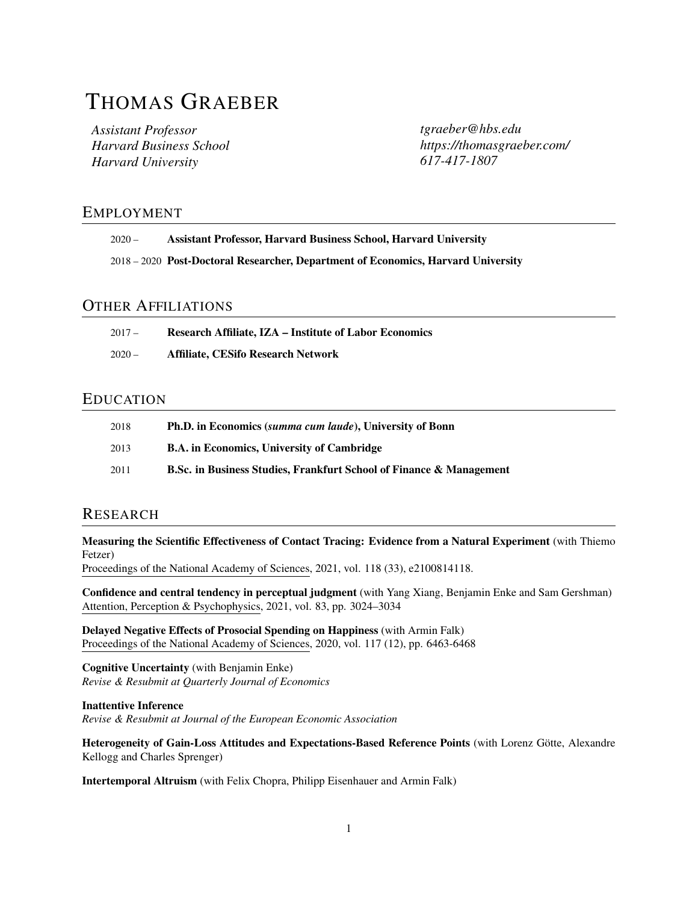# THOMAS GRAEBER

*Assistant Professor Harvard Business School Harvard University*

*[tgraeber@hbs.edu](mailto:tgraeber@hbs.edu) [https://thomasgraeber.com/](https://thomasgraeer.com/) 617-417-1807*

## EMPLOYMENT

| $2020 -$ | <b>Assistant Professor, Harvard Business School, Harvard University</b> |
|----------|-------------------------------------------------------------------------|
|----------|-------------------------------------------------------------------------|

2018 – 2020 Post-Doctoral Researcher, Department of Economics, Harvard University

## OTHER AFFILIATIONS

| $2017 -$ | <b>Research Affiliate, IZA – Institute of Labor Economics</b> |
|----------|---------------------------------------------------------------|
| $2020 -$ | <b>Affiliate, CESifo Research Network</b>                     |

### EDUCATION

| 2018 | <b>Ph.D.</b> in Economics ( <i>summa cum laude</i> ), University of Bonn       |
|------|--------------------------------------------------------------------------------|
| 2013 | <b>B.A.</b> in Economics, University of Cambridge                              |
| 2011 | <b>B.Sc. in Business Studies, Frankfurt School of Finance &amp; Management</b> |

## RESEARCH

Measuring the Scientific Effectiveness of Contact Tracing: Evidence from a Natural Experiment (with Thiemo Fetzer)

Proceedings of the National Academy of Sciences, 2021, vol. 118 (33), e2100814118.

Confidence and central tendency in perceptual judgment (with Yang Xiang, Benjamin Enke and Sam Gershman) Attention, Perception & Psychophysics, 2021, vol. 83, pp. 3024–3034

Delayed Negative Effects of Prosocial Spending on Happiness (with Armin Falk) Proceedings of the National Academy of Sciences, 2020, vol. 117 (12), pp. 6463-6468

Cognitive Uncertainty (with Benjamin Enke) *Revise & Resubmit at Quarterly Journal of Economics*

Inattentive Inference *Revise & Resubmit at Journal of the European Economic Association*

Heterogeneity of Gain-Loss Attitudes and Expectations-Based Reference Points (with Lorenz Götte, Alexandre Kellogg and Charles Sprenger)

Intertemporal Altruism (with Felix Chopra, Philipp Eisenhauer and Armin Falk)